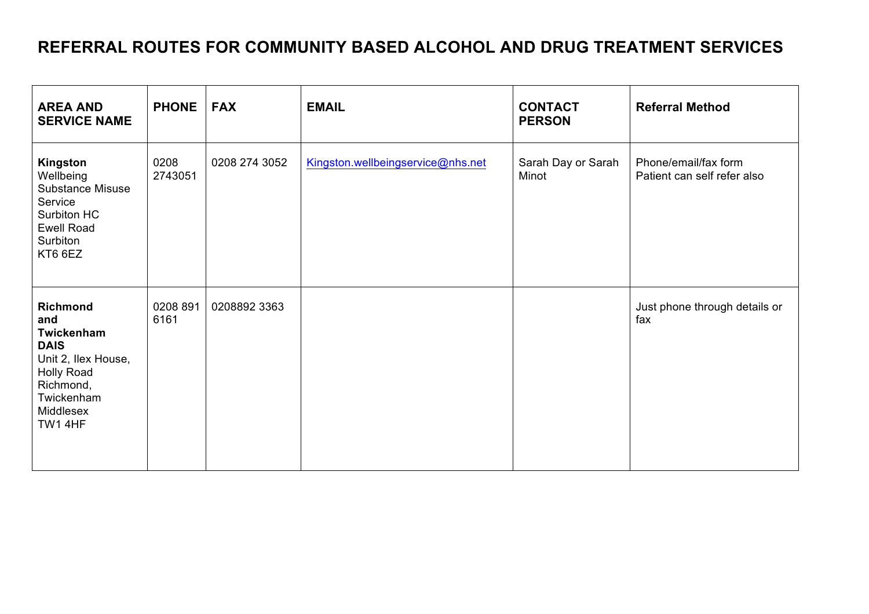## **REFERRAL ROUTES FOR COMMUNITY BASED ALCOHOL AND DRUG TREATMENT SERVICES**

| <b>AREA AND</b><br><b>SERVICE NAME</b>                                                                                                             | <b>PHONE</b>     | <b>FAX</b>    | <b>EMAIL</b>                      | <b>CONTACT</b><br><b>PERSON</b> | <b>Referral Method</b>                              |
|----------------------------------------------------------------------------------------------------------------------------------------------------|------------------|---------------|-----------------------------------|---------------------------------|-----------------------------------------------------|
| Kingston<br>Wellbeing<br><b>Substance Misuse</b><br>Service<br>Surbiton HC<br><b>Ewell Road</b><br>Surbiton<br>KT6 6EZ                             | 0208<br>2743051  | 0208 274 3052 | Kingston.wellbeingservice@nhs.net | Sarah Day or Sarah<br>Minot     | Phone/email/fax form<br>Patient can self refer also |
| <b>Richmond</b><br>and<br>Twickenham<br><b>DAIS</b><br>Unit 2, Ilex House,<br><b>Holly Road</b><br>Richmond,<br>Twickenham<br>Middlesex<br>TW1 4HF | 0208 891<br>6161 | 0208892 3363  |                                   |                                 | Just phone through details or<br>fax                |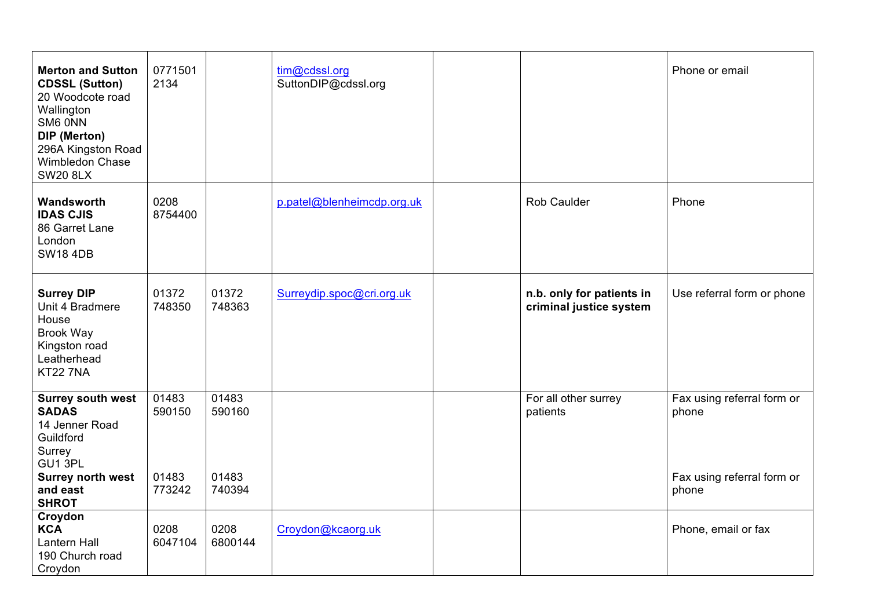| <b>Merton and Sutton</b><br><b>CDSSL (Sutton)</b><br>20 Woodcote road<br>Wallington<br>SM6 ONN<br>DIP (Merton)<br>296A Kingston Road<br>Wimbledon Chase<br><b>SW20 8LX</b> | 0771501<br>2134                    |                                    | tim@cdssl.org<br>SuttonDIP@cdssl.org |                                                      | Phone or email                                                             |
|----------------------------------------------------------------------------------------------------------------------------------------------------------------------------|------------------------------------|------------------------------------|--------------------------------------|------------------------------------------------------|----------------------------------------------------------------------------|
| Wandsworth<br><b>IDAS CJIS</b><br>86 Garret Lane<br>London<br><b>SW18 4DB</b>                                                                                              | 0208<br>8754400                    |                                    | p.patel@blenheimcdp.org.uk           | <b>Rob Caulder</b>                                   | Phone                                                                      |
| <b>Surrey DIP</b><br>Unit 4 Bradmere<br>House<br><b>Brook Way</b><br>Kingston road<br>Leatherhead<br><b>KT22 7NA</b>                                                       | 01372<br>748350                    | 01372<br>748363                    | Surreydip.spoc@cri.org.uk            | n.b. only for patients in<br>criminal justice system | Use referral form or phone                                                 |
| <b>Surrey south west</b><br><b>SADAS</b><br>14 Jenner Road<br>Guildford<br>Surrey<br>GU1 3PL<br><b>Surrey north west</b><br>and east<br><b>SHROT</b>                       | 01483<br>590150<br>01483<br>773242 | 01483<br>590160<br>01483<br>740394 |                                      | For all other surrey<br>patients                     | Fax using referral form or<br>phone<br>Fax using referral form or<br>phone |
| Croydon<br><b>KCA</b><br>Lantern Hall<br>190 Church road<br>Croydon                                                                                                        | 0208<br>6047104                    | 0208<br>6800144                    | Croydon@kcaorg.uk                    |                                                      | Phone, email or fax                                                        |